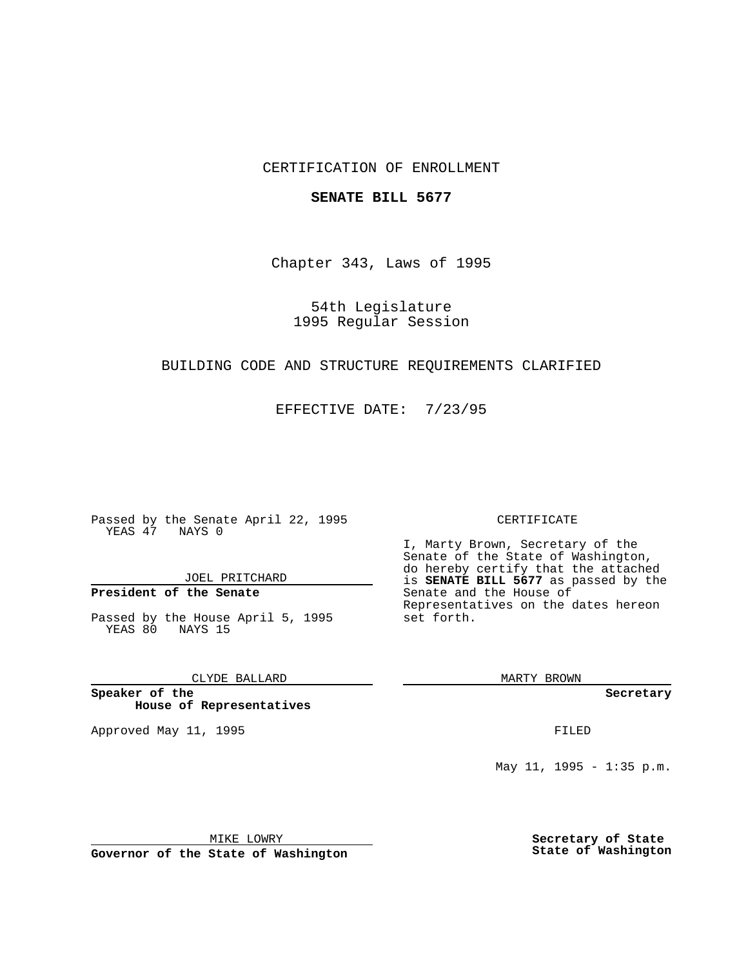## CERTIFICATION OF ENROLLMENT

#### **SENATE BILL 5677**

Chapter 343, Laws of 1995

54th Legislature 1995 Regular Session

## BUILDING CODE AND STRUCTURE REQUIREMENTS CLARIFIED

EFFECTIVE DATE: 7/23/95

Passed by the Senate April 22, 1995 YEAS 47 NAYS 0

JOEL PRITCHARD

## **President of the Senate**

Passed by the House April 5, 1995 YEAS 80 NAYS 15

## CLYDE BALLARD

**Speaker of the House of Representatives**

Approved May 11, 1995 **FILED** 

#### CERTIFICATE

I, Marty Brown, Secretary of the Senate of the State of Washington, do hereby certify that the attached is **SENATE BILL 5677** as passed by the Senate and the House of Representatives on the dates hereon set forth.

MARTY BROWN

**Secretary**

May 11, 1995 - 1:35 p.m.

MIKE LOWRY

**Governor of the State of Washington**

**Secretary of State State of Washington**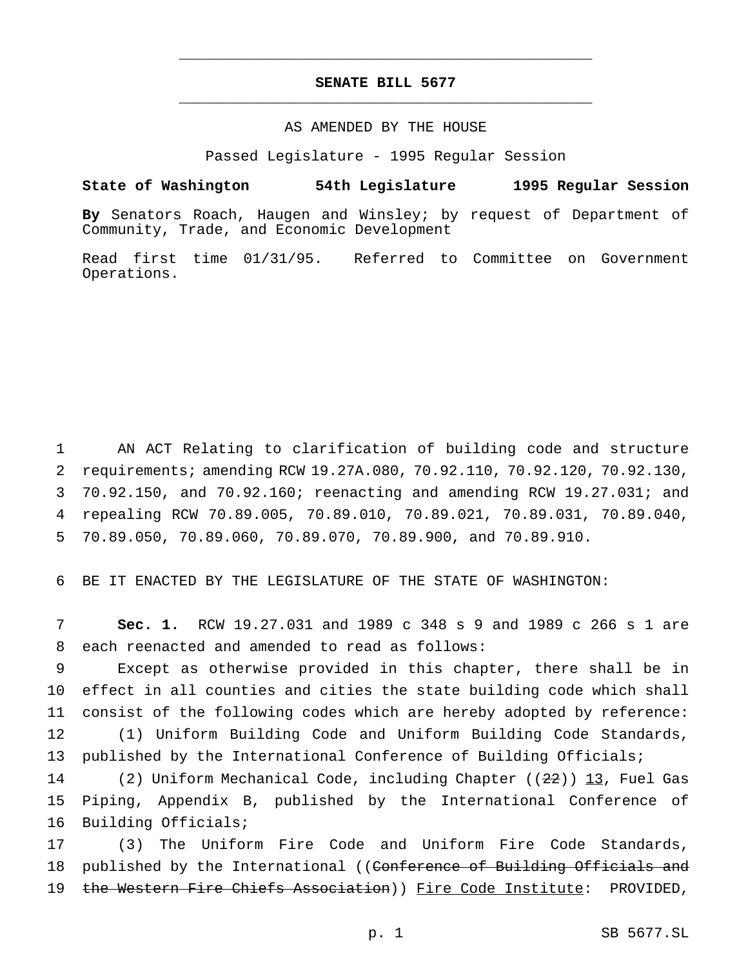# **SENATE BILL 5677** \_\_\_\_\_\_\_\_\_\_\_\_\_\_\_\_\_\_\_\_\_\_\_\_\_\_\_\_\_\_\_\_\_\_\_\_\_\_\_\_\_\_\_\_\_\_\_

\_\_\_\_\_\_\_\_\_\_\_\_\_\_\_\_\_\_\_\_\_\_\_\_\_\_\_\_\_\_\_\_\_\_\_\_\_\_\_\_\_\_\_\_\_\_\_

### AS AMENDED BY THE HOUSE

Passed Legislature - 1995 Regular Session

#### **State of Washington 54th Legislature 1995 Regular Session**

**By** Senators Roach, Haugen and Winsley; by request of Department of Community, Trade, and Economic Development

Read first time 01/31/95. Referred to Committee on Government Operations.

 AN ACT Relating to clarification of building code and structure requirements; amending RCW 19.27A.080, 70.92.110, 70.92.120, 70.92.130, 70.92.150, and 70.92.160; reenacting and amending RCW 19.27.031; and repealing RCW 70.89.005, 70.89.010, 70.89.021, 70.89.031, 70.89.040, 70.89.050, 70.89.060, 70.89.070, 70.89.900, and 70.89.910.

6 BE IT ENACTED BY THE LEGISLATURE OF THE STATE OF WASHINGTON:

7 **Sec. 1.** RCW 19.27.031 and 1989 c 348 s 9 and 1989 c 266 s 1 are 8 each reenacted and amended to read as follows:

 Except as otherwise provided in this chapter, there shall be in effect in all counties and cities the state building code which shall consist of the following codes which are hereby adopted by reference: (1) Uniform Building Code and Uniform Building Code Standards, 13 published by the International Conference of Building Officials;

14 (2) Uniform Mechanical Code, including Chapter ((22)) 13, Fuel Gas 15 Piping, Appendix B, published by the International Conference of 16 Building Officials;

17 (3) The Uniform Fire Code and Uniform Fire Code Standards, 18 published by the International ((Conference of Building Officials and 19 the Western Fire Chiefs Association)) Fire Code Institute: PROVIDED,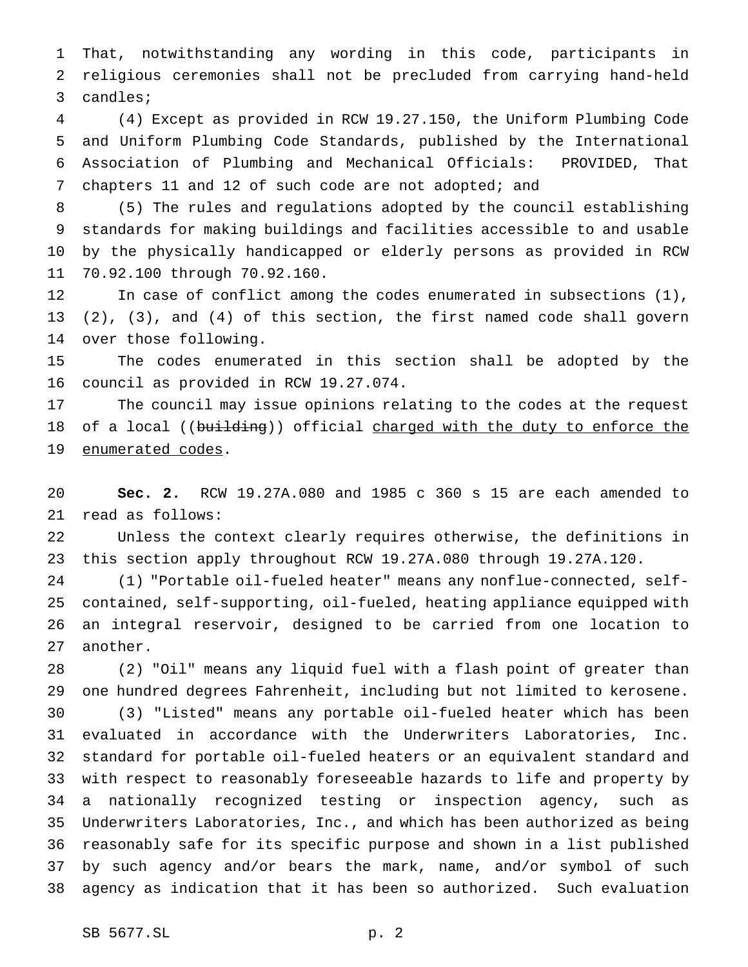That, notwithstanding any wording in this code, participants in religious ceremonies shall not be precluded from carrying hand-held candles;

 (4) Except as provided in RCW 19.27.150, the Uniform Plumbing Code and Uniform Plumbing Code Standards, published by the International Association of Plumbing and Mechanical Officials: PROVIDED, That chapters 11 and 12 of such code are not adopted; and

 (5) The rules and regulations adopted by the council establishing standards for making buildings and facilities accessible to and usable by the physically handicapped or elderly persons as provided in RCW 70.92.100 through 70.92.160.

 In case of conflict among the codes enumerated in subsections (1), (2), (3), and (4) of this section, the first named code shall govern over those following.

 The codes enumerated in this section shall be adopted by the council as provided in RCW 19.27.074.

 The council may issue opinions relating to the codes at the request 18 of a local ((building)) official charged with the duty to enforce the 19 enumerated codes.

 **Sec. 2.** RCW 19.27A.080 and 1985 c 360 s 15 are each amended to read as follows:

 Unless the context clearly requires otherwise, the definitions in this section apply throughout RCW 19.27A.080 through 19.27A.120.

 (1) "Portable oil-fueled heater" means any nonflue-connected, self- contained, self-supporting, oil-fueled, heating appliance equipped with an integral reservoir, designed to be carried from one location to another.

 (2) "Oil" means any liquid fuel with a flash point of greater than one hundred degrees Fahrenheit, including but not limited to kerosene.

 (3) "Listed" means any portable oil-fueled heater which has been evaluated in accordance with the Underwriters Laboratories, Inc. standard for portable oil-fueled heaters or an equivalent standard and with respect to reasonably foreseeable hazards to life and property by a nationally recognized testing or inspection agency, such as Underwriters Laboratories, Inc., and which has been authorized as being reasonably safe for its specific purpose and shown in a list published by such agency and/or bears the mark, name, and/or symbol of such agency as indication that it has been so authorized. Such evaluation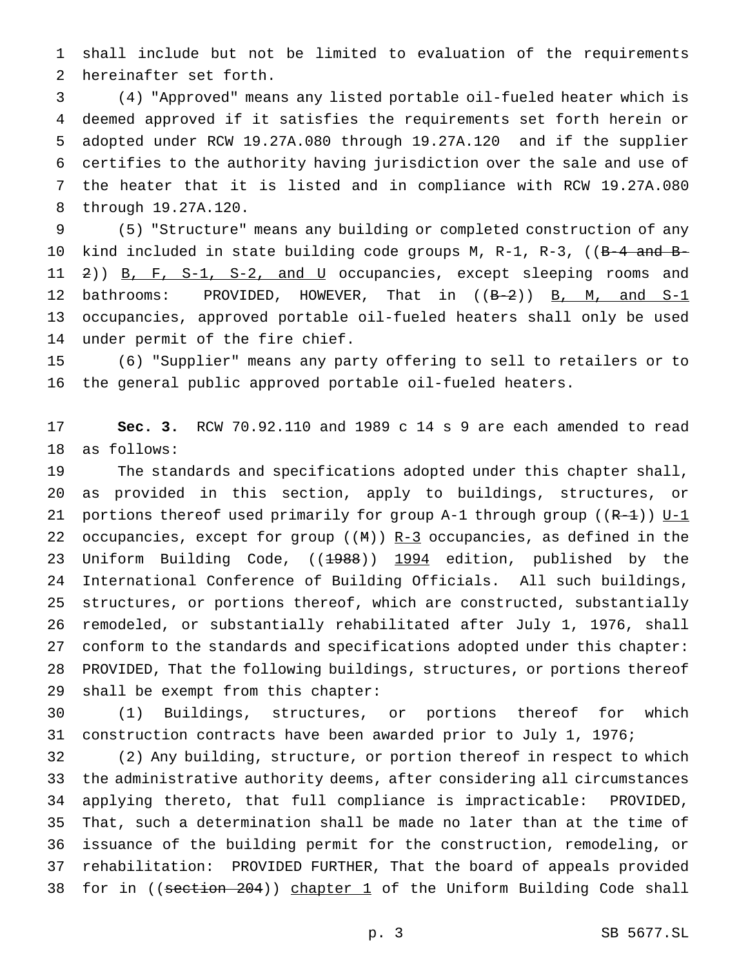shall include but not be limited to evaluation of the requirements hereinafter set forth.

 (4) "Approved" means any listed portable oil-fueled heater which is deemed approved if it satisfies the requirements set forth herein or adopted under RCW 19.27A.080 through 19.27A.120 and if the supplier certifies to the authority having jurisdiction over the sale and use of the heater that it is listed and in compliance with RCW 19.27A.080 through 19.27A.120.

 (5) "Structure" means any building or completed construction of any 10 kind included in state building code groups M, R-1, R-3, ((B-4 and B-11 2)) B, F, S-1, S-2, and U occupancies, except sleeping rooms and 12 bathrooms: PROVIDED, HOWEVER, That in ((B-2)) B, M, and S-1 occupancies, approved portable oil-fueled heaters shall only be used under permit of the fire chief.

 (6) "Supplier" means any party offering to sell to retailers or to the general public approved portable oil-fueled heaters.

 **Sec. 3.** RCW 70.92.110 and 1989 c 14 s 9 are each amended to read as follows:

 The standards and specifications adopted under this chapter shall, as provided in this section, apply to buildings, structures, or 21 portions thereof used primarily for group A-1 through group ( $(R-1)$ ) U-1 22 occupancies, except for group ( $(M)$ ) R-3 occupancies, as defined in the 23 Uniform Building Code, ((1988)) 1994 edition, published by the International Conference of Building Officials. All such buildings, structures, or portions thereof, which are constructed, substantially remodeled, or substantially rehabilitated after July 1, 1976, shall conform to the standards and specifications adopted under this chapter: PROVIDED, That the following buildings, structures, or portions thereof shall be exempt from this chapter:

 (1) Buildings, structures, or portions thereof for which construction contracts have been awarded prior to July 1, 1976;

 (2) Any building, structure, or portion thereof in respect to which the administrative authority deems, after considering all circumstances applying thereto, that full compliance is impracticable: PROVIDED, That, such a determination shall be made no later than at the time of issuance of the building permit for the construction, remodeling, or rehabilitation: PROVIDED FURTHER, That the board of appeals provided 38 for in ((section 204)) chapter 1 of the Uniform Building Code shall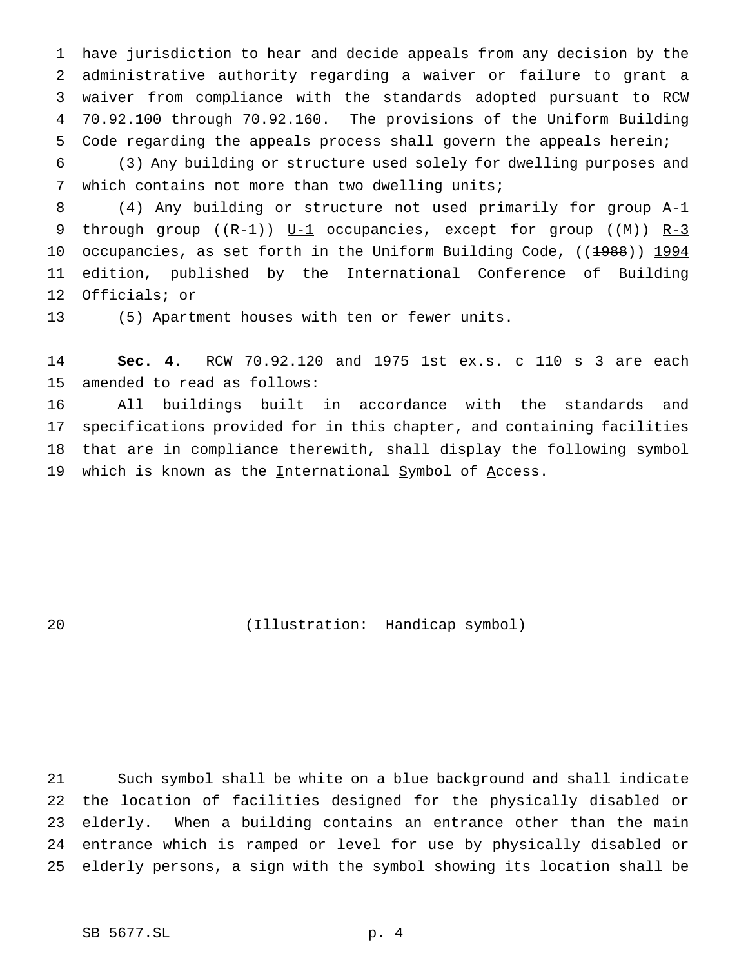have jurisdiction to hear and decide appeals from any decision by the administrative authority regarding a waiver or failure to grant a waiver from compliance with the standards adopted pursuant to RCW 70.92.100 through 70.92.160. The provisions of the Uniform Building Code regarding the appeals process shall govern the appeals herein;

 (3) Any building or structure used solely for dwelling purposes and which contains not more than two dwelling units;

 (4) Any building or structure not used primarily for group A-1 9 through group  $((R-1))$   $U-1$  occupancies, except for group  $((M))$   $R-3$ 10 occupancies, as set forth in the Uniform Building Code, ((1988)) 1994 edition, published by the International Conference of Building Officials; or

(5) Apartment houses with ten or fewer units.

 **Sec. 4.** RCW 70.92.120 and 1975 1st ex.s. c 110 s 3 are each amended to read as follows:

 All buildings built in accordance with the standards and specifications provided for in this chapter, and containing facilities that are in compliance therewith, shall display the following symbol 19 which is known as the International Symbol of Access.

(Illustration: Handicap symbol)

 Such symbol shall be white on a blue background and shall indicate the location of facilities designed for the physically disabled or elderly. When a building contains an entrance other than the main entrance which is ramped or level for use by physically disabled or elderly persons, a sign with the symbol showing its location shall be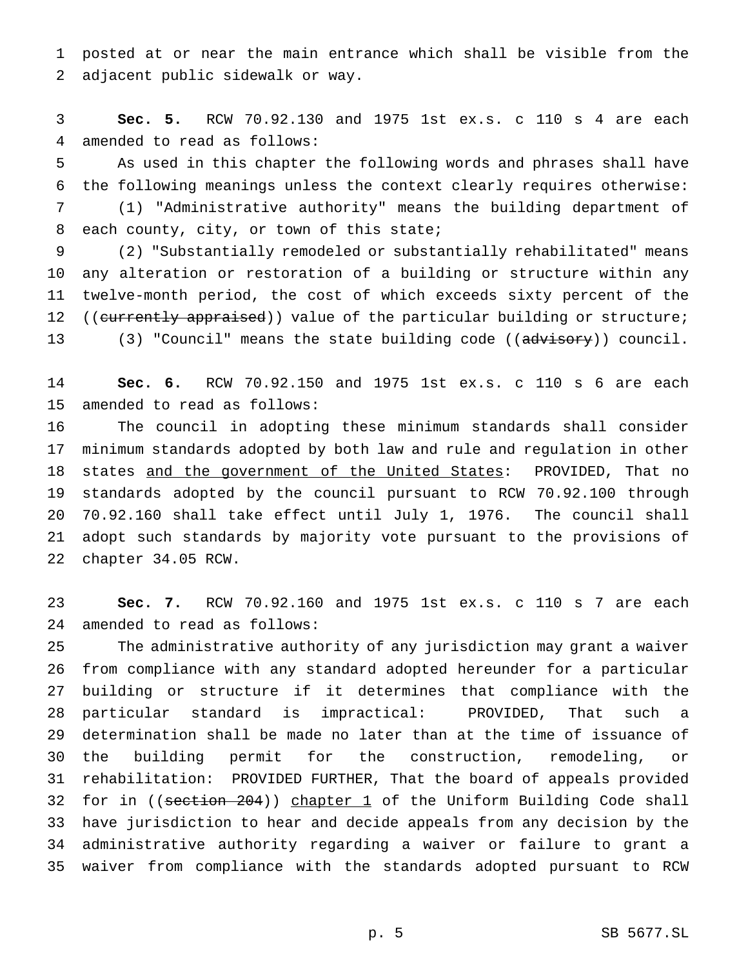posted at or near the main entrance which shall be visible from the adjacent public sidewalk or way.

 **Sec. 5.** RCW 70.92.130 and 1975 1st ex.s. c 110 s 4 are each amended to read as follows:

 As used in this chapter the following words and phrases shall have the following meanings unless the context clearly requires otherwise:

 (1) "Administrative authority" means the building department of each county, city, or town of this state;

 (2) "Substantially remodeled or substantially rehabilitated" means any alteration or restoration of a building or structure within any twelve-month period, the cost of which exceeds sixty percent of the 12 ((currently appraised)) value of the particular building or structure; 13 (3) "Council" means the state building code ((advisory)) council.

 **Sec. 6.** RCW 70.92.150 and 1975 1st ex.s. c 110 s 6 are each amended to read as follows:

 The council in adopting these minimum standards shall consider minimum standards adopted by both law and rule and regulation in other states and the government of the United States: PROVIDED, That no standards adopted by the council pursuant to RCW 70.92.100 through 70.92.160 shall take effect until July 1, 1976. The council shall adopt such standards by majority vote pursuant to the provisions of chapter 34.05 RCW.

 **Sec. 7.** RCW 70.92.160 and 1975 1st ex.s. c 110 s 7 are each amended to read as follows:

 The administrative authority of any jurisdiction may grant a waiver from compliance with any standard adopted hereunder for a particular building or structure if it determines that compliance with the particular standard is impractical: PROVIDED, That such a determination shall be made no later than at the time of issuance of the building permit for the construction, remodeling, or rehabilitation: PROVIDED FURTHER, That the board of appeals provided 32 for in ((section 204)) chapter 1 of the Uniform Building Code shall have jurisdiction to hear and decide appeals from any decision by the administrative authority regarding a waiver or failure to grant a waiver from compliance with the standards adopted pursuant to RCW